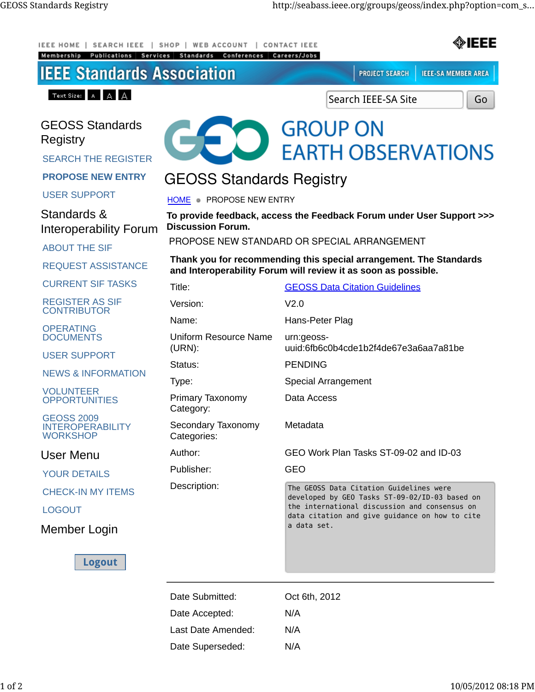| <b>SEARCH IEEE</b><br><b>IEEE HOME</b><br>Membership<br>Publications<br>Services | SHOP  <br><b>WEB ACCOUNT</b><br>Conferences<br>Standards           | ◈IEEE<br><b>CONTACT IEEE</b><br>Careers/Jobs                                                                                                                                                                |
|----------------------------------------------------------------------------------|--------------------------------------------------------------------|-------------------------------------------------------------------------------------------------------------------------------------------------------------------------------------------------------------|
| <b>IEEE Standards Association</b>                                                |                                                                    | <b>PROJECT SEARCH</b><br><b>IEEE-SA MEMBER AREA</b>                                                                                                                                                         |
| Text Size: $A \cap A \cap A$                                                     |                                                                    | Search IEEE-SA Site<br>Go                                                                                                                                                                                   |
| <b>GEOSS Standards</b><br>Registry<br><b>SEARCH THE REGISTER</b>                 |                                                                    | <b>GROUP ON</b><br><b>EARTH OBSERVATIONS</b>                                                                                                                                                                |
| <b>PROPOSE NEW ENTRY</b>                                                         | <b>GEOSS Standards Registry</b>                                    |                                                                                                                                                                                                             |
| <b>USER SUPPORT</b>                                                              | HOME PROPOSE NEW ENTRY                                             |                                                                                                                                                                                                             |
| Standards &<br><b>Interoperability Forum</b>                                     | <b>Discussion Forum.</b>                                           | To provide feedback, access the Feedback Forum under User Support >>><br>PROPOSE NEW STANDARD OR SPECIAL ARRANGEMENT                                                                                        |
| <b>ABOUT THE SIF</b>                                                             | Thank you for recommending this special arrangement. The Standards |                                                                                                                                                                                                             |
| <b>REQUEST ASSISTANCE</b>                                                        |                                                                    | and Interoperability Forum will review it as soon as possible.                                                                                                                                              |
| <b>CURRENT SIF TASKS</b>                                                         | Title:                                                             | <b>GEOSS Data Citation Guidelines</b>                                                                                                                                                                       |
| <b>REGISTER AS SIF</b><br><b>CONTRIBUTOR</b>                                     | Version:                                                           | V2.0                                                                                                                                                                                                        |
| <b>OPERATING</b><br><b>DOCUMENTS</b>                                             | Name:<br>Uniform Resource Name<br>$(URN)$ :                        | Hans-Peter Plag<br>urn:geoss-<br>uuid:6fb6c0b4cde1b2f4de67e3a6aa7a81be                                                                                                                                      |
| <b>USER SUPPORT</b>                                                              | Status:                                                            | <b>PENDING</b>                                                                                                                                                                                              |
| <b>NEWS &amp; INFORMATION</b>                                                    | Type:                                                              | Special Arrangement                                                                                                                                                                                         |
| <b>VOLUNTEER</b><br><b>OPPORTUNITIES</b>                                         | Primary Taxonomy<br>Category:                                      | Data Access                                                                                                                                                                                                 |
| <b>GEOSS 2009</b><br><b>INTEROPERABILITY</b><br><b>WORKSHOP</b>                  | Secondary Taxonomy<br>Categories:                                  | Metadata                                                                                                                                                                                                    |
| <b>User Menu</b>                                                                 | Author:                                                            | GEO Work Plan Tasks ST-09-02 and ID-03                                                                                                                                                                      |
| <b>YOUR DETAILS</b>                                                              | Publisher:                                                         | GEO                                                                                                                                                                                                         |
| <b>CHECK-IN MY ITEMS</b>                                                         | Description:                                                       | The GEOSS Data Citation Guidelines were<br>developed by GEO Tasks ST-09-02/ID-03 based on<br>the international discussion and consensus on<br>data citation and give guidance on how to cite<br>a data set. |
| <b>LOGOUT</b>                                                                    |                                                                    |                                                                                                                                                                                                             |
| Member Login                                                                     |                                                                    |                                                                                                                                                                                                             |
| <b>Logout</b>                                                                    |                                                                    |                                                                                                                                                                                                             |
|                                                                                  | Date Submitted:                                                    | Oct 6th, 2012                                                                                                                                                                                               |
|                                                                                  | Date Accepted:                                                     | N/A                                                                                                                                                                                                         |
|                                                                                  | Last Date Amended:                                                 | N/A                                                                                                                                                                                                         |
|                                                                                  | Date Superseded:                                                   | N/A                                                                                                                                                                                                         |
|                                                                                  |                                                                    |                                                                                                                                                                                                             |